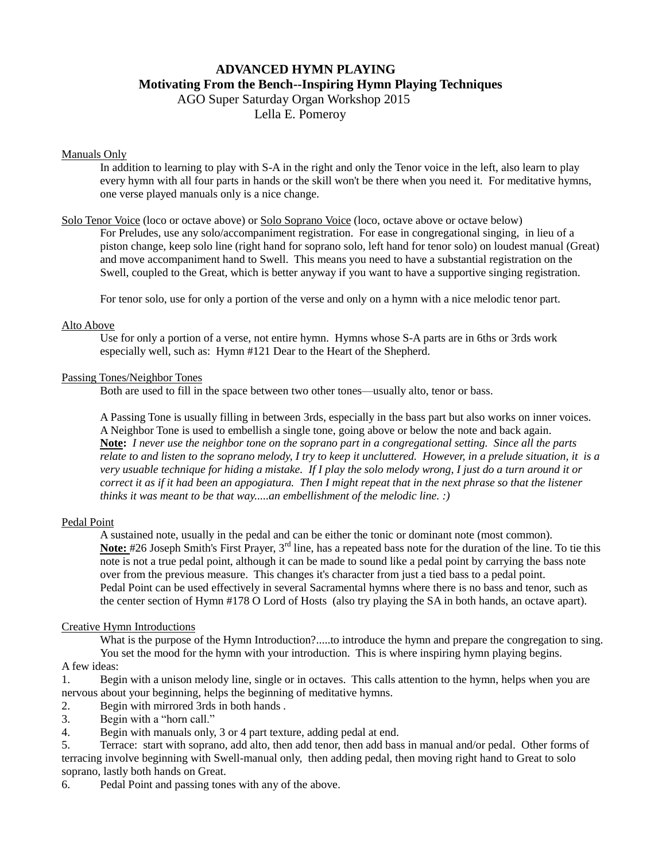# **ADVANCED HYMN PLAYING Motivating From the Bench--Inspiring Hymn Playing Techniques**

AGO Super Saturday Organ Workshop 2015

Lella E. Pomeroy

### Manuals Only

In addition to learning to play with S-A in the right and only the Tenor voice in the left, also learn to play every hymn with all four parts in hands or the skill won't be there when you need it. For meditative hymns, one verse played manuals only is a nice change.

Solo Tenor Voice (loco or octave above) or Solo Soprano Voice (loco, octave above or octave below)

For Preludes, use any solo/accompaniment registration. For ease in congregational singing, in lieu of a piston change, keep solo line (right hand for soprano solo, left hand for tenor solo) on loudest manual (Great) and move accompaniment hand to Swell. This means you need to have a substantial registration on the Swell, coupled to the Great, which is better anyway if you want to have a supportive singing registration.

For tenor solo, use for only a portion of the verse and only on a hymn with a nice melodic tenor part.

# Alto Above

Use for only a portion of a verse, not entire hymn. Hymns whose S-A parts are in 6ths or 3rds work especially well, such as: Hymn #121 Dear to the Heart of the Shepherd.

#### Passing Tones/Neighbor Tones

Both are used to fill in the space between two other tones—usually alto, tenor or bass.

A Passing Tone is usually filling in between 3rds, especially in the bass part but also works on inner voices. A Neighbor Tone is used to embellish a single tone, going above or below the note and back again. **Note:** *I never use the neighbor tone on the soprano part in a congregational setting. Since all the parts relate to and listen to the soprano melody, I try to keep it uncluttered. However, in a prelude situation, it is a very usuable technique for hiding a mistake. If I play the solo melody wrong, I just do a turn around it or correct it as if it had been an appogiatura. Then I might repeat that in the next phrase so that the listener thinks it was meant to be that way.....an embellishment of the melodic line. :)*

# Pedal Point

A sustained note, usually in the pedal and can be either the tonic or dominant note (most common). **Note:** #26 Joseph Smith's First Prayer, 3rd line, has a repeated bass note for the duration of the line. To tie this note is not a true pedal point, although it can be made to sound like a pedal point by carrying the bass note over from the previous measure. This changes it's character from just a tied bass to a pedal point. Pedal Point can be used effectively in several Sacramental hymns where there is no bass and tenor, such as the center section of Hymn #178 O Lord of Hosts (also try playing the SA in both hands, an octave apart).

# Creative Hymn Introductions

What is the purpose of the Hymn Introduction?.....to introduce the hymn and prepare the congregation to sing. You set the mood for the hymn with your introduction. This is where inspiring hymn playing begins.

# A few ideas:

1. Begin with a unison melody line, single or in octaves. This calls attention to the hymn, helps when you are nervous about your beginning, helps the beginning of meditative hymns.

- 2. Begin with mirrored 3rds in both hands .
- 3. Begin with a "horn call."
- 4. Begin with manuals only, 3 or 4 part texture, adding pedal at end.

5. Terrace: start with soprano, add alto, then add tenor, then add bass in manual and/or pedal. Other forms of terracing involve beginning with Swell-manual only, then adding pedal, then moving right hand to Great to solo soprano, lastly both hands on Great.

6. Pedal Point and passing tones with any of the above.